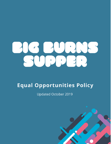

# **Equal Opportunities Policy**

**Updated October 2019** 

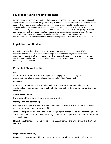# **Equal opportunities Policy Statement**

ELECTRIC THEATRE WORKSHOP, registered charity No. SCO42897. Is committed to a policy of equal opportunities employment and integrated casting in which individuals are selected and treated on the basis of their relevant merits and abilities without regard to age, disability, gender reassignment, marriage and civil partnership, pregnancy and maternity, race, religion or belief, sex or sexual orientation and are given equal opportunities within the company. The aim of this policy is to ensure that no job applicant, employee, volunteer, freelance worker, audience member or project participant receives less favourable treatment on grounds related to any protected characteristic. ELECTRIC THEATRE WORKSHOP monitors all recruitment processes. this policy is reviewed annually.

# **Legislation and Guidance**

This policy has been drafted in adherence with duties outlined in the Equalities Act (2010), Equalities Scotland Act (2010) which provides legislative protections on groups identified by protected characteristics, the definitions of which are outlined in this document. Guidance on best practices were sought from Creative Scotland, Independent Theatre Council and the Equalities and Human Rights Commission.

# **Protected Characteristics**

#### **Age**

Where this is referred to, it refers to a person belonging to a particular age (for example 32 year olds) or range of ages (for example 18 to 30 year olds).

# **Disability**

A person has a disability if she or he has a physical or mental impairment which has a substantial and long-term adverse effect on that person's ability to carry out normal day-to-day activities.

# **Gender reassignment**

The process of transitioning from one gender to another.

# **Marriage and civil partnership**

Marriage is no longer restricted to a union between a man and a woman but now includes a marriage between a same-sex couple. [1]

Same-sex couples can also have their relationships legally recognised as 'civil partnerships'. Civil partners must not be treated less favourably than married couples (except where permitted by the Equality Act).

[1] Section 1, Marriage (Same Sex Couples) Act 2013, Marriage and Civil Partnership (Scotland) Act 2014.

#### **Pregnancy and maternity**

Pregnancy is the condition of being pregnant or expecting a baby. Maternity refers to the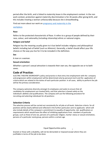period after the birth, and is linked to maternity leave in the employment context. In the non work context, protection against maternity discrimination is for 26 weeks after giving birth, and this includes treating a woman unfavourably because she is breastfeeding.

Find out more about our work on pregnancy and maternity in the

#### workplace.

## **Race**

Refers to the protected characteristic of Race. It refers to a group of people defined by their race, colour, and nationality (including citizenship) ethnic or national origins.

## **Religion and belief**

Religion has the meaning usually given to it but belief includes religious and philosophical beliefs including lack of belief (such as Atheism). Generally, a belief should affect your life choices or the way you live for it to be included in the definition.

## **Sex**

A man or a woman.

## **Sexual orientation**

Whether a person's sexual attraction is towards their own sex, the opposite sex or to both sexes.

# **Code of Practice:**

ELECTRIC THEATRE WORKSHOP's policy and practice is that entry into employment with the company and progression within employment will be determined only by personal merit and the application of criteria which are related to the duties of each particular position. In all cases, ability to perform the job will be the primary consideration.

The company welcomes diversity amongst its employees and seeks to ensure that all candidates for employment are treated fairly, and that selection is based solely on the individual's abilities and qualifications. The company will use the following procedure for recruiting and selecting individuals for all positions:

# **Selection Criteria**

The selection process will be carried out consistently for all jobs at all levels. Selection criteria for all positions will be clearly defined and reflected in the further particulars sent to applicants which will also include details of the company's commitment to equality of opportunity. Job qualifications or requirements which would have the effect of inhibiting applications from members of particular groups, such as those of one sex, persons of a particular religion, marital status or sexual orientation, persons of a particular racial group, persons within a certain age

Equal Opportunities policy  $\frac{2}{3}$ 

bracket or those with a disability, will not be demanded or imposed except where they are justifiable in terms of the job to be done.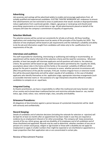#### **Advertising**

Job vacancies and castings will be advertised widely to enable and encourage applications from all suitably qualified and experienced candidates. ELECTRIC THEATRE WORKSHOP will endeavour to ensure that advertisements are not restricted to areas or publications that would exclude or disproportionately reduce applications from a particular gender, religion, age group or racial group and should avoid prescribing requirements as to marital status or age. All job advertisements placed on behalf of the company will state the company's commitment to equality of opportunity.

#### **Selection Methods**

The selection process will be carried out consistently for all jobs at all levels. All those handling applications and conducting interviews must be aware of the principles of the Equality Act 2010. The selection of new employees will be based on job requirements and the individual's suitability and ability to do the job and information sought from candidates will relate only to the qualifications for or requirements of the job.

#### **Interviews and auditions**

The staff responsible for shortlisting, interviewing or auditioning and making or recommending an appointment will be clearly informed of the selection criteria and the need for consistency. Wherever possible, at least two people will interview applicants and all questions will relate to the selection criteria. No questions will be based on age, health (except where permitted by the Equality Act 2010), assumptions about roles in the home and the family or the assumed suitability of different ethnic groups for the post in question. Where it is necessary to assess whether personal circumstances will affect the performance of the job (for example, if the job involves irregular hours or extensive travel) this will be discussed objectively and will be asked equally of all candidates. In the case of disabled applicants who identify themselves at the application stage, appropriate interview arrangements (such as accessible interview rooms or the assistance of a sign interpreter) should be offered to enable candidates to compete on an equal basis.

#### **Integrated Casting**

As theatre practitioners, we have a responsibility to reflect the multiracial and many faceted nature of our society and to break down traditional barriers and restrictive attitudes based on sex, marital status, age, creed, colour, race, national origin, class, sexuality and disability.

#### **Grievance Procedures:**

All allegations of discrimination against a person because of a protected characteristic will be dealt with seriously and confidentially.

#### **Record Keeping:**

Details of candidates and of selection decisions (including the rationale for selection or rejection) will be kept for at least six months after an appointment has been made in case they are required as evidence by an employment tribunal or for other proceedings. The company will keep anonymous records of the sex, ethnic group, age and any disability of its employees and of all candidates and of those shortlisted and appointed. Records may be used to determine whether members of one sex or persons of a certain racial group, religion or age bracket or those with a disability do not apply for employment or apply in smaller numbers than might be expected or are shortlisted or appointed in a lower proportion than their application rate or are concentrated in certain jobs.